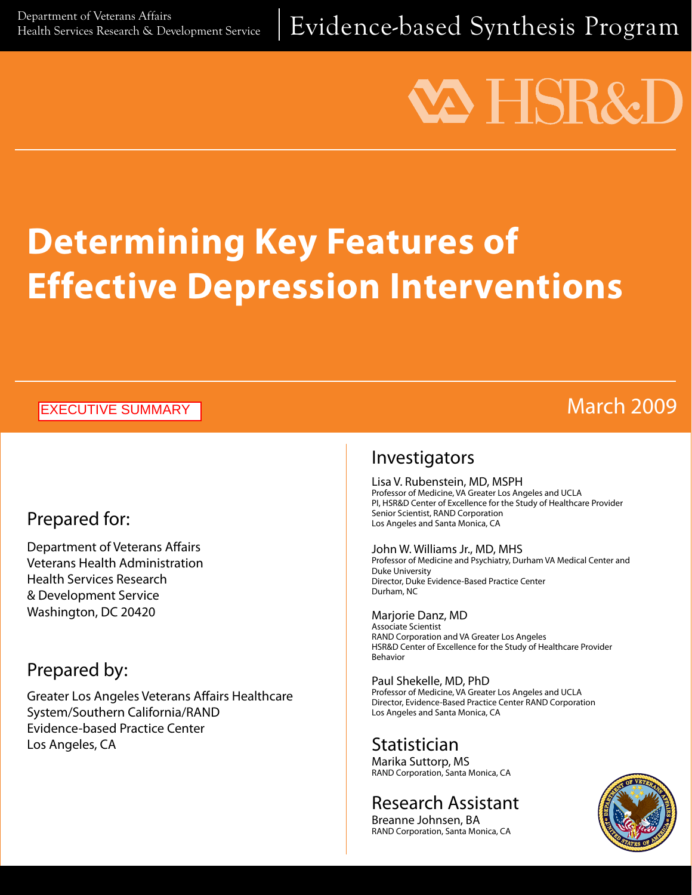Department of Veterans Affairs<br>Health Services Research & Development Service |  $\mathsf{Evidence\text{-}based\ Synthesis\ Program}$ 

# VA HSR&

# **Determining Key Features of Effective Depression Interventions**

#### EXECUTIVE SUMMARY

# March 2009

# Prepared for:

Department of Veterans Affairs Veterans Health Administration Health Services Research & Development Service Washington, DC 20420

# Prepared by:

Greater Los Angeles Veterans Affairs Healthcare System/Southern California/RAND Evidence-based Practice Center Los Angeles, CA

### Investigators

Lisa V. Rubenstein, MD, MSPH Professor of Medicine, VA Greater Los Angeles and UCLA PI, HSR&D Center of Excellence for the Study of Healthcare Provider Senior Scientist, RAND Corporation Los Angeles and Santa Monica, CA

#### John W. Williams Jr., MD, MHS

Professor of Medicine and Psychiatry, Durham VA Medical Center and Duke University Director, Duke Evidence-Based Practice Center Durham, NC

Marjorie Danz, MD Associate Scientist RAND Corporation and VA Greater Los Angeles HSR&D Center of Excellence for the Study of Healthcare Provider Behavior

Paul Shekelle, MD, PhD Professor of Medicine, VA Greater Los Angeles and UCLA Director, Evidence-Based Practice Center RAND Corporation Los Angeles and Santa Monica, CA

### Statistician

Marika Suttorp, MS RAND Corporation, Santa Monica, CA

# Research Assistant

Breanne Johnsen, BA RAND Corporation, Santa Monica, CA

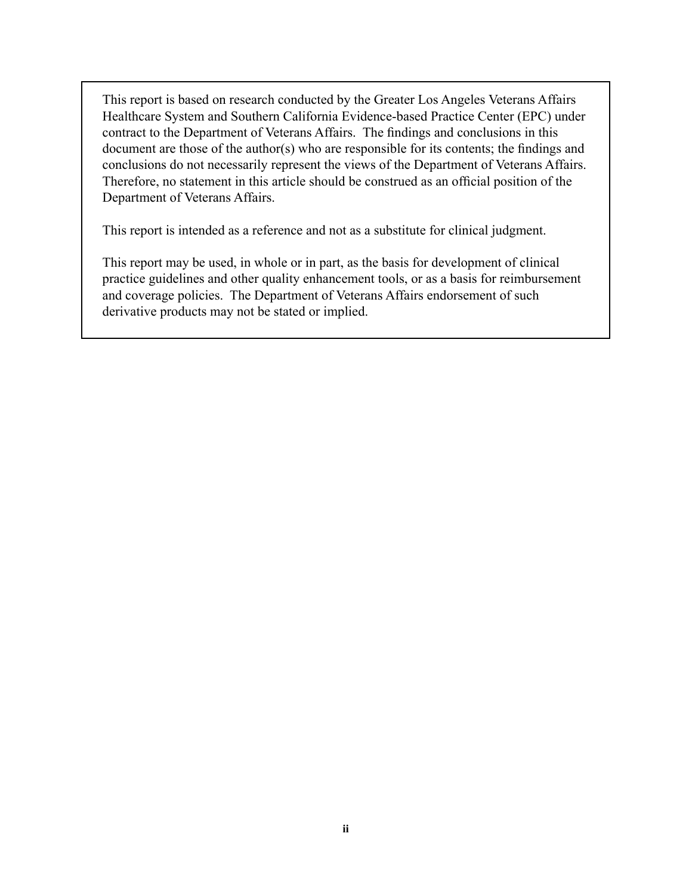This report is based on research conducted by the Greater Los Angeles Veterans Affairs Healthcare System and Southern California Evidence-based Practice Center (EPC) under contract to the Department of Veterans Affairs. The findings and conclusions in this document are those of the author(s) who are responsible for its contents; the findings and conclusions do not necessarily represent the views of the Department of Veterans Affairs. Therefore, no statement in this article should be construed as an official position of the Department of Veterans Affairs.

This report is intended as a reference and not as a substitute for clinical judgment.

This report may be used, in whole or in part, as the basis for development of clinical practice guidelines and other quality enhancement tools, or as a basis for reimbursement and coverage policies. The Department of Veterans Affairs endorsement of such derivative products may not be stated or implied.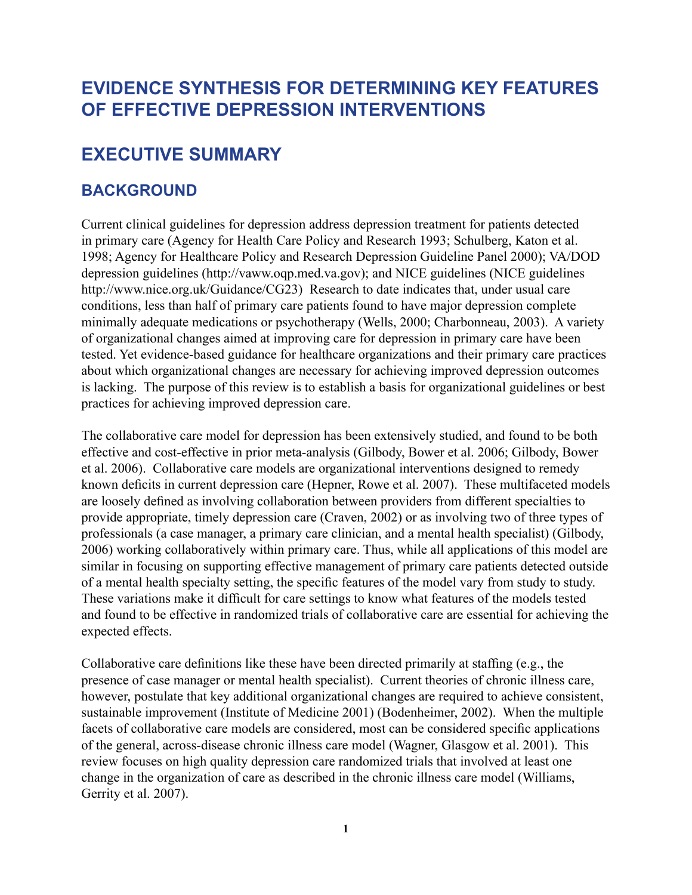# **Evidence Synthesis For Determining Key Features of Effective Depression Interventions**

## **Executive Summary**

#### **Background**

Current clinical guidelines for depression address depression treatment for patients detected in primary care (Agency for Health Care Policy and Research 1993; Schulberg, Katon et al. 1998; Agency for Healthcare Policy and Research Depression Guideline Panel 2000); VA/DOD depression guidelines (http://vaww.oqp.med.va.gov); and NICE guidelines (NICE guidelines http://www.nice.org.uk/Guidance/CG23) Research to date indicates that, under usual care conditions, less than half of primary care patients found to have major depression complete minimally adequate medications or psychotherapy (Wells, 2000; Charbonneau, 2003). A variety of organizational changes aimed at improving care for depression in primary care have been tested. Yet evidence-based guidance for healthcare organizations and their primary care practices about which organizational changes are necessary for achieving improved depression outcomes is lacking. The purpose of this review is to establish a basis for organizational guidelines or best practices for achieving improved depression care.

The collaborative care model for depression has been extensively studied, and found to be both effective and cost-effective in prior meta-analysis (Gilbody, Bower et al. 2006; Gilbody, Bower et al. 2006). Collaborative care models are organizational interventions designed to remedy known deficits in current depression care (Hepner, Rowe et al. 2007). These multifaceted models are loosely defined as involving collaboration between providers from different specialties to provide appropriate, timely depression care (Craven, 2002) or as involving two of three types of professionals (a case manager, a primary care clinician, and a mental health specialist) (Gilbody, 2006) working collaboratively within primary care. Thus, while all applications of this model are similar in focusing on supporting effective management of primary care patients detected outside of a mental health specialty setting, the specific features of the model vary from study to study. These variations make it difficult for care settings to know what features of the models tested and found to be effective in randomized trials of collaborative care are essential for achieving the expected effects.

Collaborative care definitions like these have been directed primarily at staffing (e.g., the presence of case manager or mental health specialist). Current theories of chronic illness care, however, postulate that key additional organizational changes are required to achieve consistent, sustainable improvement (Institute of Medicine 2001) (Bodenheimer, 2002). When the multiple facets of collaborative care models are considered, most can be considered specific applications of the general, across-disease chronic illness care model (Wagner, Glasgow et al. 2001). This review focuses on high quality depression care randomized trials that involved at least one change in the organization of care as described in the chronic illness care model (Williams, Gerrity et al. 2007).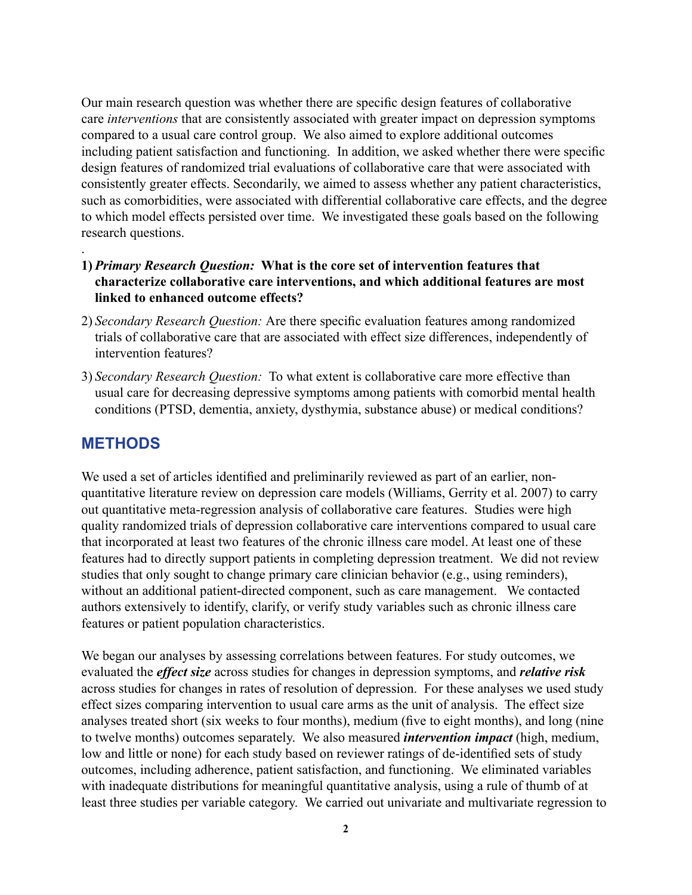Our main research question was whether there are specific design features of collaborative care *interventions* that are consistently associated with greater impact on depression symptoms compared to a usual care control group. We also aimed to explore additional outcomes including patient satisfaction and functioning. In addition, we asked whether there were specific design features of randomized trial evaluations of collaborative care that were associated with consistently greater effects. Secondarily, we aimed to assess whether any patient characteristics, such as comorbidities, were associated with differential collaborative care effects, and the degree to which model effects persisted over time. We investigated these goals based on the following research questions.

- **1)** *Primary Research Question:* **What is the core set of intervention features that characterize collaborative care interventions, and which additional features are most linked to enhanced outcome effects?**
- 2) *Secondary Research Question:* Are there specific evaluation features among randomized trials of collaborative care that are associated with effect size differences, independently of intervention features?
- 3) *Secondary Research Question:* To what extent is collaborative care more effective than usual care for decreasing depressive symptoms among patients with comorbid mental health conditions (PTSD, dementia, anxiety, dysthymia, substance abuse) or medical conditions?

#### **Methods**

.

We used a set of articles identified and preliminarily reviewed as part of an earlier, nonquantitative literature review on depression care models (Williams, Gerrity et al. 2007) to carry out quantitative meta-regression analysis of collaborative care features. Studies were high quality randomized trials of depression collaborative care interventions compared to usual care that incorporated at least two features of the chronic illness care model. At least one of these features had to directly support patients in completing depression treatment. We did not review studies that only sought to change primary care clinician behavior (e.g., using reminders), without an additional patient-directed component, such as care management. We contacted authors extensively to identify, clarify, or verify study variables such as chronic illness care features or patient population characteristics.

We began our analyses by assessing correlations between features. For study outcomes, we evaluated the *effect size* across studies for changes in depression symptoms, and *relative risk*  across studies for changes in rates of resolution of depression. For these analyses we used study effect sizes comparing intervention to usual care arms as the unit of analysis. The effect size analyses treated short (six weeks to four months), medium (five to eight months), and long (nine to twelve months) outcomes separately. We also measured *intervention impact* (high, medium, low and little or none) for each study based on reviewer ratings of de-identified sets of study outcomes, including adherence, patient satisfaction, and functioning. We eliminated variables with inadequate distributions for meaningful quantitative analysis, using a rule of thumb of at least three studies per variable category. We carried out univariate and multivariate regression to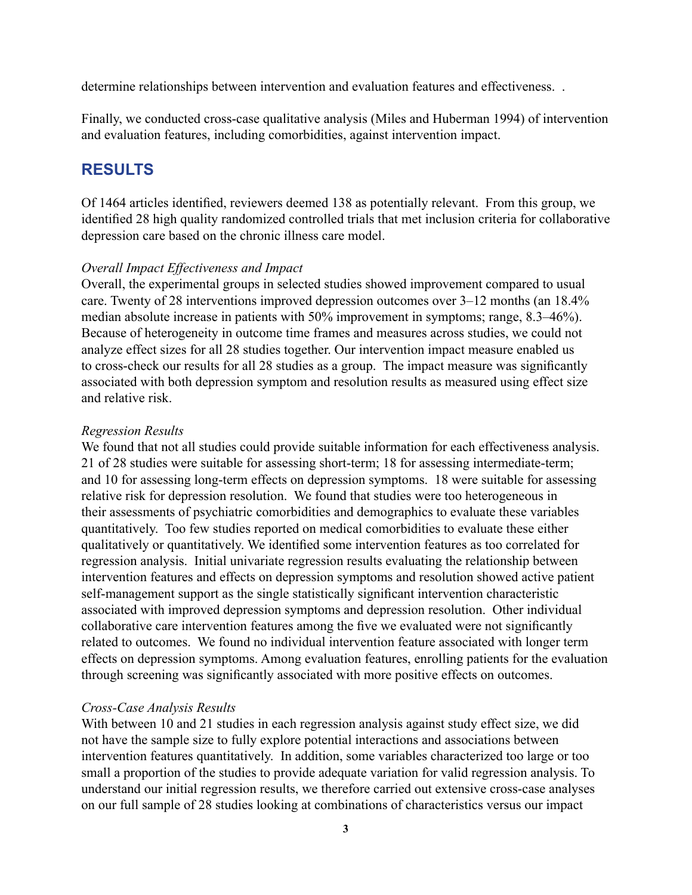determine relationships between intervention and evaluation features and effectiveness. .

Finally, we conducted cross-case qualitative analysis (Miles and Huberman 1994) of intervention and evaluation features, including comorbidities, against intervention impact.

#### **Results**

Of 1464 articles identified, reviewers deemed 138 as potentially relevant. From this group, we identified 28 high quality randomized controlled trials that met inclusion criteria for collaborative depression care based on the chronic illness care model.

#### *Overall Impact Effectiveness and Impact*

Overall, the experimental groups in selected studies showed improvement compared to usual care. Twenty of 28 interventions improved depression outcomes over 3–12 months (an 18.4% median absolute increase in patients with 50% improvement in symptoms; range, 8.3–46%). Because of heterogeneity in outcome time frames and measures across studies, we could not analyze effect sizes for all 28 studies together. Our intervention impact measure enabled us to cross-check our results for all 28 studies as a group. The impact measure was significantly associated with both depression symptom and resolution results as measured using effect size and relative risk.

#### *Regression Results*

We found that not all studies could provide suitable information for each effectiveness analysis. 21 of 28 studies were suitable for assessing short-term; 18 for assessing intermediate-term; and 10 for assessing long-term effects on depression symptoms. 18 were suitable for assessing relative risk for depression resolution. We found that studies were too heterogeneous in their assessments of psychiatric comorbidities and demographics to evaluate these variables quantitatively. Too few studies reported on medical comorbidities to evaluate these either qualitatively or quantitatively. We identified some intervention features as too correlated for regression analysis. Initial univariate regression results evaluating the relationship between intervention features and effects on depression symptoms and resolution showed active patient self-management support as the single statistically significant intervention characteristic associated with improved depression symptoms and depression resolution. Other individual collaborative care intervention features among the five we evaluated were not significantly related to outcomes. We found no individual intervention feature associated with longer term effects on depression symptoms. Among evaluation features, enrolling patients for the evaluation through screening was significantly associated with more positive effects on outcomes.

#### *Cross-Case Analysis Results*

With between 10 and 21 studies in each regression analysis against study effect size, we did not have the sample size to fully explore potential interactions and associations between intervention features quantitatively. In addition, some variables characterized too large or too small a proportion of the studies to provide adequate variation for valid regression analysis. To understand our initial regression results, we therefore carried out extensive cross-case analyses on our full sample of 28 studies looking at combinations of characteristics versus our impact